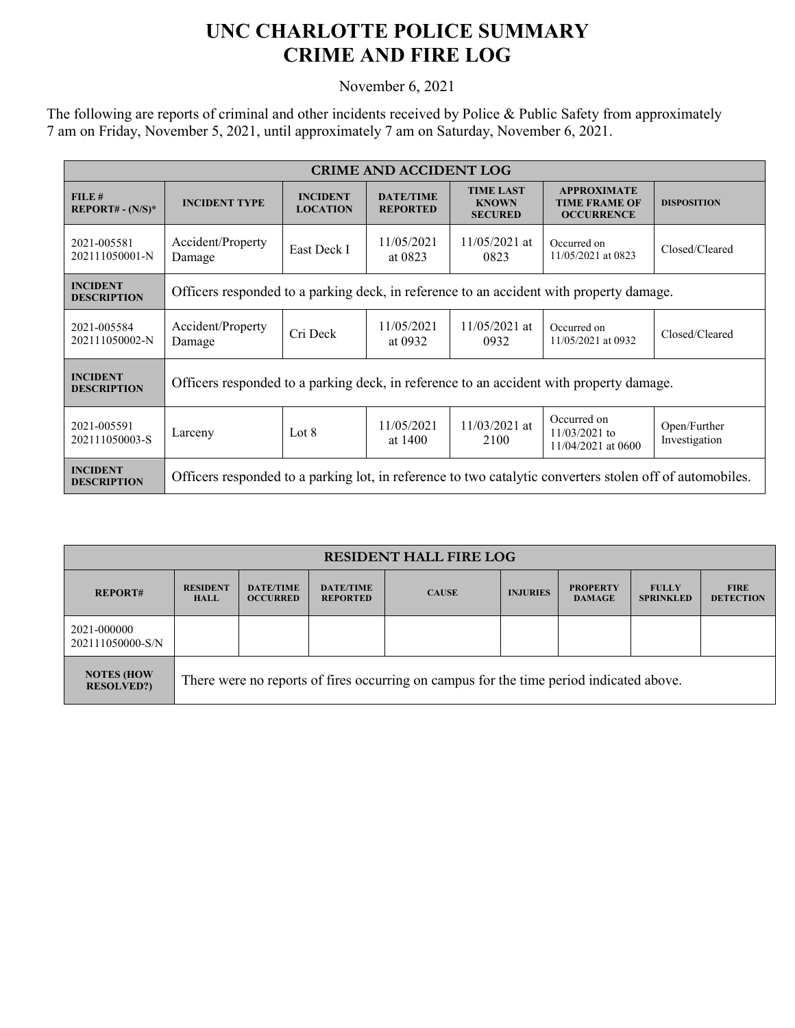## **UNC CHARLOTTE POLICE SUMMARY CRIME AND FIRE LOG**

November 6, 2021

The following are reports of criminal and other incidents received by Police & Public Safety from approximately 7 am on Friday, November 5, 2021, until approximately 7 am on Saturday, November 6, 2021.

| <b>CRIME AND ACCIDENT LOG</b>         |                                                                                                          |                                    |                                     |                                                    |                                                                 |                               |  |  |
|---------------------------------------|----------------------------------------------------------------------------------------------------------|------------------------------------|-------------------------------------|----------------------------------------------------|-----------------------------------------------------------------|-------------------------------|--|--|
| FILE#<br>$REPORT# - (N/S)*$           | <b>INCIDENT TYPE</b>                                                                                     | <b>INCIDENT</b><br><b>LOCATION</b> | <b>DATE/TIME</b><br><b>REPORTED</b> | <b>TIME LAST</b><br><b>KNOWN</b><br><b>SECURED</b> | <b>APPROXIMATE</b><br><b>TIME FRAME OF</b><br><b>OCCURRENCE</b> | <b>DISPOSITION</b>            |  |  |
| 2021-005581<br>202111050001-N         | Accident/Property<br>Damage                                                                              | East Deck I                        | 11/05/2021<br>at 0823               | $11/05/2021$ at<br>0823                            | Occurred on<br>11/05/2021 at 0823                               | Closed/Cleared                |  |  |
| <b>INCIDENT</b><br><b>DESCRIPTION</b> | Officers responded to a parking deck, in reference to an accident with property damage.                  |                                    |                                     |                                                    |                                                                 |                               |  |  |
| 2021-005584<br>202111050002-N         | Accident/Property<br>Damage                                                                              | Cri Deck                           | 11/05/2021<br>at 0932               | $11/05/2021$ at<br>0932                            | Occurred on<br>11/05/2021 at 0932                               | Closed/Cleared                |  |  |
| <b>INCIDENT</b><br><b>DESCRIPTION</b> | Officers responded to a parking deck, in reference to an accident with property damage.                  |                                    |                                     |                                                    |                                                                 |                               |  |  |
| 2021-005591<br>202111050003-S         | Larceny                                                                                                  | Lot $8$                            | 11/05/2021<br>at 1400               | $11/03/2021$ at<br>2100                            | Occurred on<br>$11/03/2021$ to<br>11/04/2021 at 0600            | Open/Further<br>Investigation |  |  |
| <b>INCIDENT</b><br><b>DESCRIPTION</b> | Officers responded to a parking lot, in reference to two catalytic converters stolen off of automobiles. |                                    |                                     |                                                    |                                                                 |                               |  |  |

| <b>RESIDENT HALL FIRE LOG</b>          |                                                                                         |                                     |                                     |              |                 |                                  |                                  |                                 |
|----------------------------------------|-----------------------------------------------------------------------------------------|-------------------------------------|-------------------------------------|--------------|-----------------|----------------------------------|----------------------------------|---------------------------------|
| <b>REPORT#</b>                         | <b>RESIDENT</b><br><b>HALL</b>                                                          | <b>DATE/TIME</b><br><b>OCCURRED</b> | <b>DATE/TIME</b><br><b>REPORTED</b> | <b>CAUSE</b> | <b>INJURIES</b> | <b>PROPERTY</b><br><b>DAMAGE</b> | <b>FULLY</b><br><b>SPRINKLED</b> | <b>FIRE</b><br><b>DETECTION</b> |
| 2021-000000<br>202111050000-S/N        |                                                                                         |                                     |                                     |              |                 |                                  |                                  |                                 |
| <b>NOTES (HOW</b><br><b>RESOLVED?)</b> | There were no reports of fires occurring on campus for the time period indicated above. |                                     |                                     |              |                 |                                  |                                  |                                 |